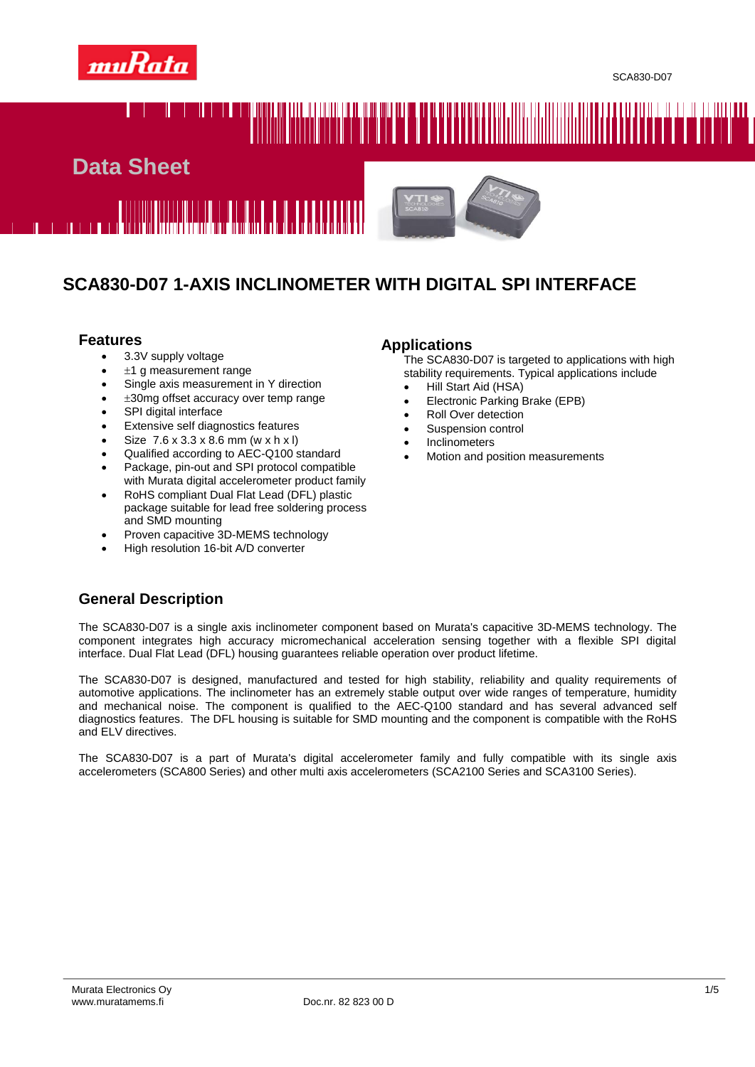

# 





## **SCA830-D07 1-AXIS INCLINOMETER WITH DIGITAL SPI INTERFACE**

#### **Features**

- 3.3V supply voltage
- $±1$  g measurement range
- Single axis measurement in Y direction
- 30mg offset accuracy over temp range
- SPI digital interface
- Extensive self diagnostics features
- Size 7.6 x 3.3 x 8.6 mm (w x h x l)
- Qualified according to AEC-Q100 standard
- Package, pin-out and SPI protocol compatible with Murata digital accelerometer product family
- RoHS compliant Dual Flat Lead (DFL) plastic package suitable for lead free soldering process and SMD mounting
- Proven capacitive 3D-MEMS technology
- High resolution 16-bit A/D converter

#### **Applications**

The SCA830-D07 is targeted to applications with high stability requirements. Typical applications include

- Hill Start Aid (HSA)
- Electronic Parking Brake (EPB)
- Roll Over detection
- Suspension control
- Inclinometers
- Motion and position measurements

## **General Description**

The SCA830-D07 is a single axis inclinometer component based on Murata's capacitive 3D-MEMS technology. The component integrates high accuracy micromechanical acceleration sensing together with a flexible SPI digital interface. Dual Flat Lead (DFL) housing guarantees reliable operation over product lifetime.

The SCA830-D07 is designed, manufactured and tested for high stability, reliability and quality requirements of automotive applications. The inclinometer has an extremely stable output over wide ranges of temperature, humidity and mechanical noise. The component is qualified to the AEC-Q100 standard and has several advanced self diagnostics features. The DFL housing is suitable for SMD mounting and the component is compatible with the RoHS and ELV directives.

The SCA830-D07 is a part of Murata's digital accelerometer family and fully compatible with its single axis accelerometers (SCA800 Series) and other multi axis accelerometers (SCA2100 Series and SCA3100 Series).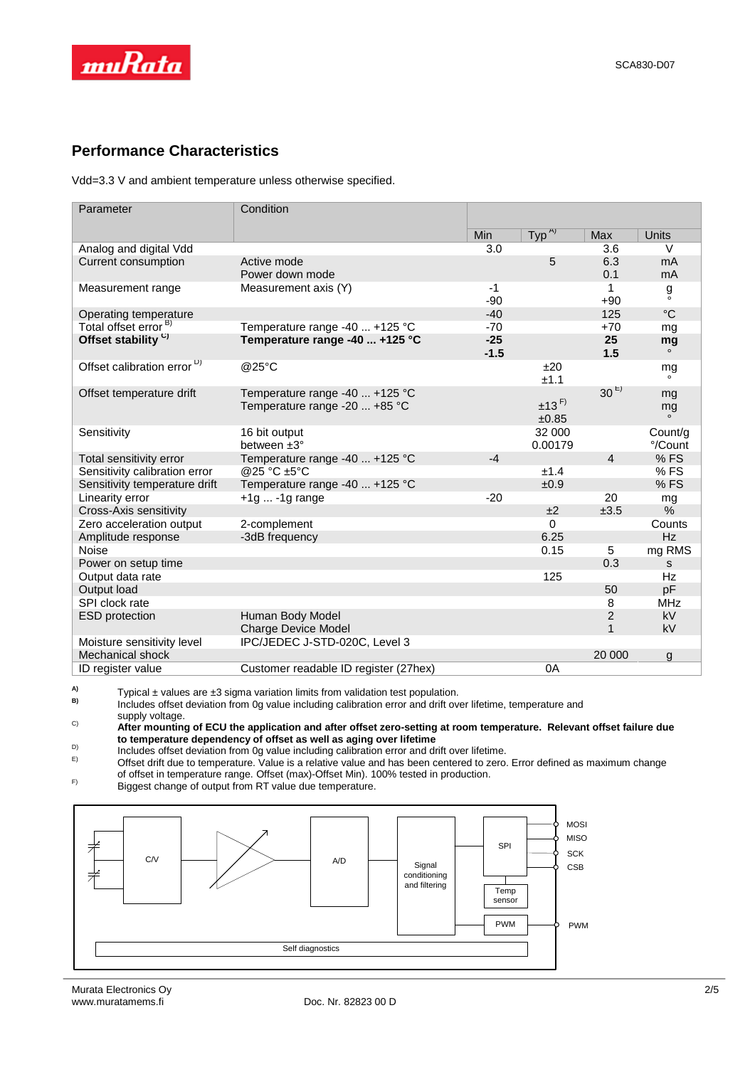

## **Performance Characteristics**

Vdd=3.3 V and ambient temperature unless otherwise specified.

| Parameter                              | Condition                                                       |                 |                              |                   |                     |
|----------------------------------------|-----------------------------------------------------------------|-----------------|------------------------------|-------------------|---------------------|
|                                        |                                                                 | Min             | $Type^{A)}$                  | Max               | <b>Units</b>        |
| Analog and digital Vdd                 |                                                                 | 3.0             |                              | 3.6               | $\vee$              |
| Current consumption                    | Active mode<br>Power down mode                                  |                 | 5                            | 6.3<br>0.1        | mA<br>mA            |
| Measurement range                      | Measurement axis (Y)                                            | $-1$<br>$-90$   |                              | 1<br>$+90$        | å                   |
| Operating temperature                  |                                                                 | $-40$           |                              | 125               | $^{\circ}C$         |
| Total offset error <sup>B)</sup>       | Temperature range -40  +125 °C                                  | $-70$           |                              | $+70$             | mg                  |
| Offset stability <sup>C)</sup>         | Temperature range -40  +125 °C                                  | $-25$<br>$-1.5$ |                              | 25<br>1.5         | mg<br>$\circ$       |
| Offset calibration error <sup>D)</sup> | @25°C                                                           |                 | ±20<br>±1.1                  |                   | mg<br>$\circ$       |
| Offset temperature drift               | Temperature range -40  +125 °C<br>Temperature range -20  +85 °C |                 | $±13$ <sup>F)</sup><br>±0.85 | 30 <sup>E</sup>   | mg<br>mg<br>$\circ$ |
| Sensitivity                            | 16 bit output<br>between ±3°                                    |                 | 32 000<br>0.00179            |                   | Count/g<br>°/Count  |
| Total sensitivity error                | Temperature range -40  +125 °C                                  | $-4$            |                              | $\overline{4}$    | %FS                 |
| Sensitivity calibration error          | @25 °C ±5°C                                                     |                 | ±1.4                         |                   | %FS                 |
| Sensitivity temperature drift          | Temperature range -40  +125 °C                                  |                 | ±0.9                         |                   | %FS                 |
| Linearity error                        | $+1g$ -1g range                                                 | $-20$           |                              | 20                | mg                  |
| Cross-Axis sensitivity                 |                                                                 |                 | ±2                           | ±3.5              | %                   |
| Zero acceleration output               | 2-complement                                                    |                 | $\Omega$                     |                   | Counts              |
| Amplitude response                     | -3dB frequency                                                  |                 | 6.25                         |                   | Hz                  |
| Noise                                  |                                                                 |                 | 0.15                         | 5                 | mg RMS              |
| Power on setup time                    |                                                                 |                 |                              | 0.3               | s                   |
| Output data rate                       |                                                                 |                 | 125                          |                   | Hz                  |
| Output load                            |                                                                 |                 |                              | 50                | pF                  |
| SPI clock rate                         |                                                                 |                 |                              | 8                 | <b>MHz</b>          |
| <b>ESD</b> protection                  | Human Body Model<br><b>Charge Device Model</b>                  |                 |                              | 2<br>$\mathbf{1}$ | <b>kV</b><br>kV     |
| Moisture sensitivity level             | IPC/JEDEC J-STD-020C, Level 3                                   |                 |                              |                   |                     |
| Mechanical shock                       |                                                                 |                 |                              | 20 000            | g                   |
| ID register value                      | Customer readable ID register (27hex)                           |                 | 0A                           |                   |                     |

**A)** Typical  $\pm$  values are  $\pm 3$  sigma variation limits from validation test population.

B) Includes offset deviation from 0g value including calibration error and drift over lifetime, temperature and  $\overline{B}$ supply voltage.

C) **After mounting of ECU the application and after offset zero-setting at room temperature. Relevant offset failure due to temperature dependency of offset as well as aging over lifetime** D)

Includes offset deviation from 0g value including calibration error and drift over lifetime.

E) Offset drift due to temperature. Value is a relative value and has been centered to zero. Error defined as maximum change of offset in temperature range. Offset (max)-Offset Min). 100% tested in production.

F) Biggest change of output from RT value due temperature.

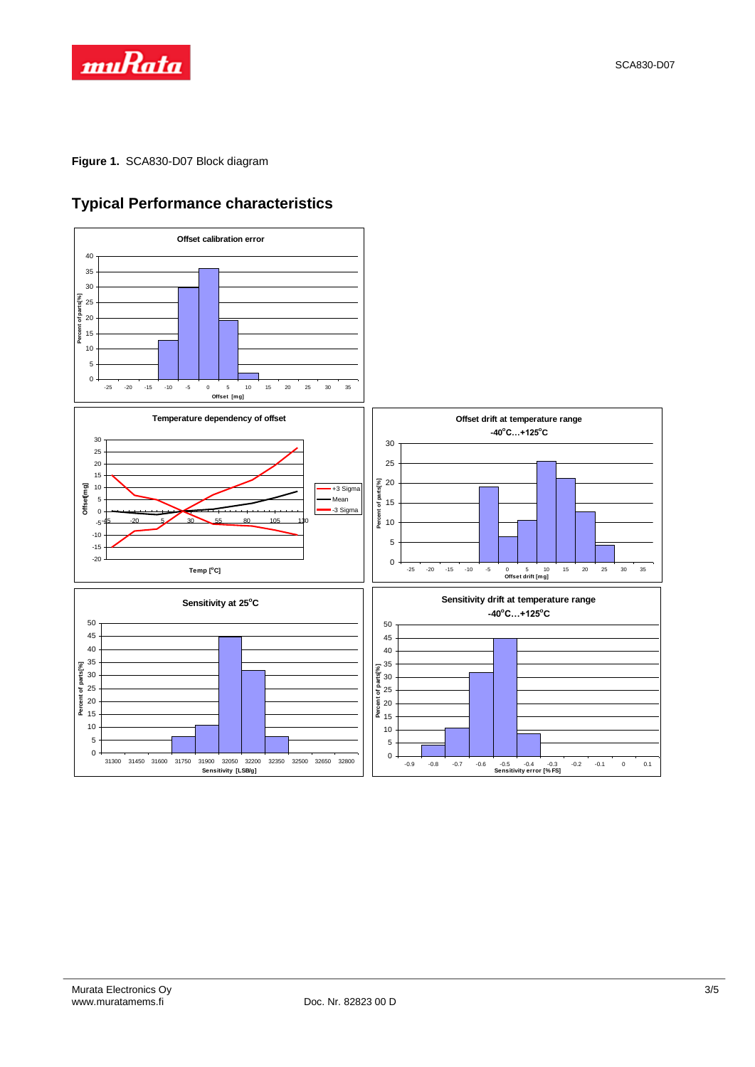

**Figure 1.** SCA830-D07 Block diagram



## **Typical Performance characteristics**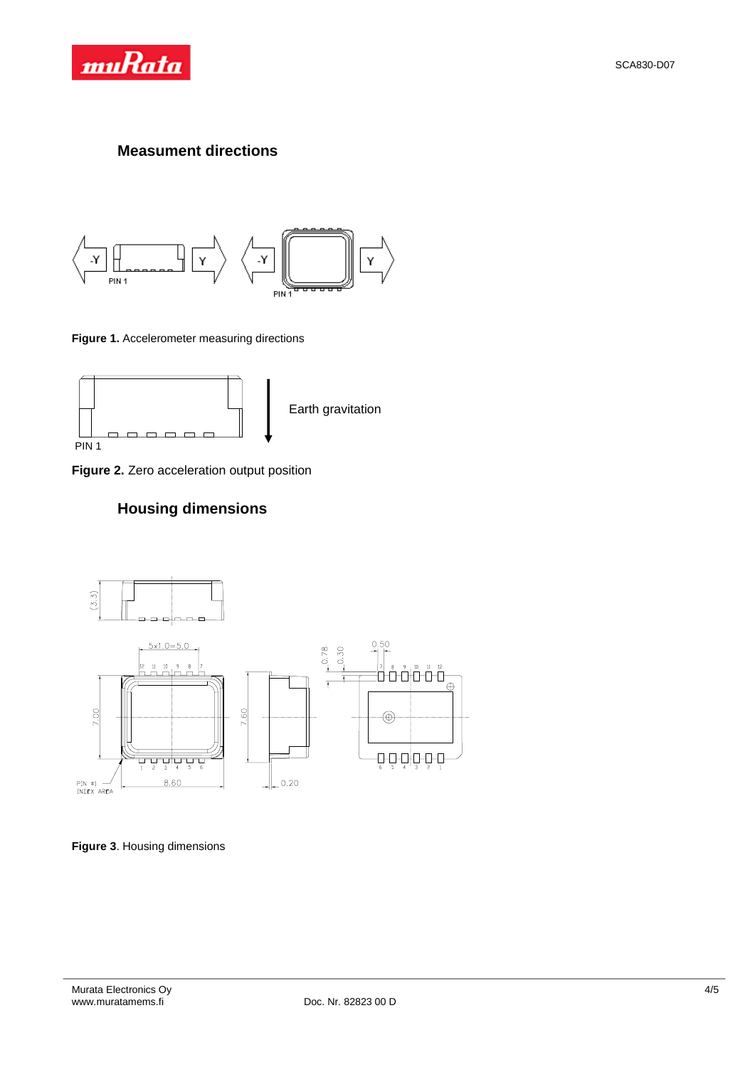

#### **Measument directions**



**Figure 1.** Accelerometer measuring directions



**Figure 2.** Zero acceleration output position

## **Housing dimensions**



**Figure 3**. Housing dimensions